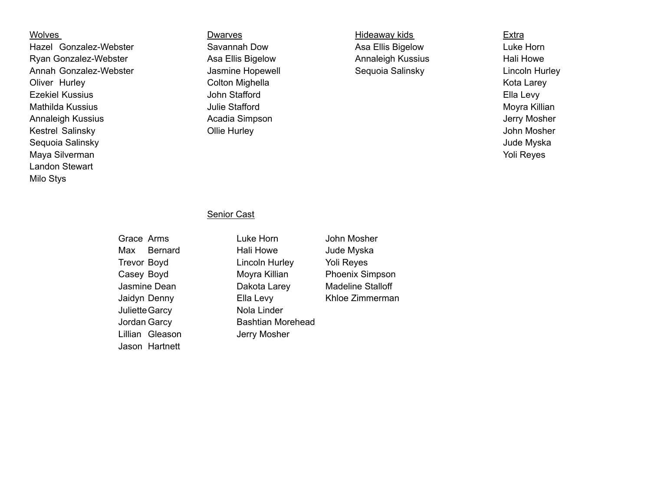Hazel Gonzalez-Webster Savannah Dow Asa Ellis Bigelow Luke Horn Ryan Gonzalez-Webster **Asa Ellis Bigelow** Annaleigh Kussius Hali Howe Annah Gonzalez-Webster and Jasmine Hopewell Sequoia Salinsky Cincoln Hurley Oliver Hurley **Colton Mighella** Colton Dighella Colton Colton Angle Colton Mighella Ezekiel Kussius **Ella Levy** John Stafford **Ella Levy** Ella Levy Mathilda Kussius **Moyra Killian** Julie Stafford **Moyra Killian** Moyra Killian Annaleigh Kussius **Acadia Simpson** Acadia Simpson Annaleigh Kussius Jerry Mosher Kestrel Salinsky **State Collie Hurley** Collie Hurley **Collie Hurley** John Mosher Sequoia Salinsky Jude Myska Maya Silverman Yoli Reyes Landon Stewart Milo Stys

Wolves **Extra** Dwarves **Dwarves Extra Hideaway kids** Extra

## Senior Cast

Juliette Garcy Nola Linder Lillian Gleason **Jerry Mosher** Jason Hartnett

Grace Arms **Luke Horn** John Mosher Max Bernard Hali Howe Jude Myska Trevor Boyd Lincoln Hurley Yoli Reyes Casey Boyd **Moyra Killian** Phoenix Simpson Jasmine Dean Dakota Larey Madeline Stalloff Jaidyn Denny Ella Levy Khloe Zimmerman Jordan Garcy **Bashtian Morehead**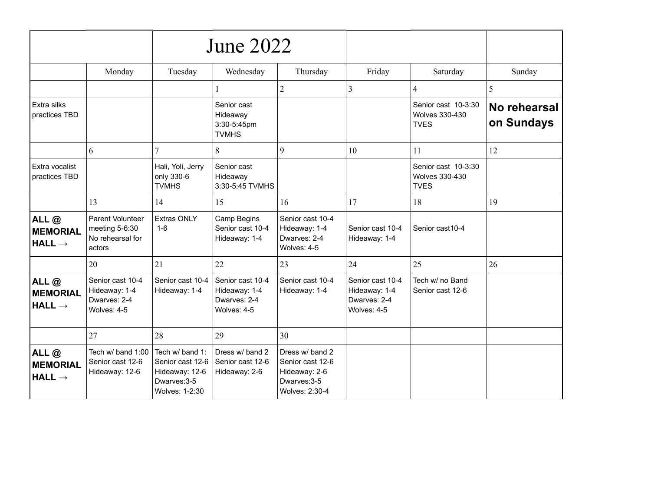|                                                  |                                                                         |                                                                                         | <b>June 2022</b>                                                 |                                                                                        |                                                                  |                                                             |                            |
|--------------------------------------------------|-------------------------------------------------------------------------|-----------------------------------------------------------------------------------------|------------------------------------------------------------------|----------------------------------------------------------------------------------------|------------------------------------------------------------------|-------------------------------------------------------------|----------------------------|
|                                                  | Monday                                                                  | Tuesday                                                                                 | Wednesday                                                        | Thursday                                                                               | Friday                                                           | Saturday                                                    | Sunday                     |
|                                                  |                                                                         |                                                                                         | 1                                                                | $\overline{2}$                                                                         | 3                                                                | $\overline{4}$                                              | 5                          |
| Extra silks<br>practices TBD                     |                                                                         |                                                                                         | Senior cast<br>Hideaway<br>3:30-5:45pm<br><b>TVMHS</b>           |                                                                                        |                                                                  | Senior cast 10-3:30<br><b>Wolves 330-430</b><br><b>TVES</b> | No rehearsal<br>on Sundays |
|                                                  | 6                                                                       | 7                                                                                       | 8                                                                | 9                                                                                      | 10                                                               | 11                                                          | 12                         |
| Extra vocalist<br>practices TBD                  |                                                                         | Hali, Yoli, Jerry<br>only 330-6<br><b>TVMHS</b>                                         | Senior cast<br>Hideaway<br>3:30-5:45 TVMHS                       |                                                                                        |                                                                  | Senior cast 10-3:30<br><b>Wolves 330-430</b><br><b>TVES</b> |                            |
|                                                  | 13                                                                      | 14                                                                                      | 15                                                               | 16                                                                                     | 17                                                               | 18                                                          | 19                         |
| ALL@<br><b>MEMORIAL</b><br>$HALL \rightarrow$    | <b>Parent Volunteer</b><br>meeting 5-6:30<br>No rehearsal for<br>actors | <b>Extras ONLY</b><br>$1 - 6$                                                           | Camp Begins<br>Senior cast 10-4<br>Hideaway: 1-4                 | Senior cast 10-4<br>Hideaway: 1-4<br>Dwarves: 2-4<br>Wolves: 4-5                       | Senior cast 10-4<br>Hideaway: 1-4                                | Senior cast10-4                                             |                            |
|                                                  | 20                                                                      | 21                                                                                      | 22                                                               | 23                                                                                     | 24                                                               | 25                                                          | 26                         |
| ALL@<br><b>MEMORIAL</b><br>$HALL \rightarrow$    | Senior cast 10-4<br>Hideaway: 1-4<br>Dwarves: 2-4<br>Wolves: 4-5        | Senior cast 10-4<br>Hideaway: 1-4                                                       | Senior cast 10-4<br>Hideaway: 1-4<br>Dwarves: 2-4<br>Wolves: 4-5 | Senior cast 10-4<br>Hideaway: 1-4                                                      | Senior cast 10-4<br>Hideaway: 1-4<br>Dwarves: 2-4<br>Wolves: 4-5 | Tech w/ no Band<br>Senior cast 12-6                         |                            |
|                                                  | 27                                                                      | 28                                                                                      | 29                                                               | 30                                                                                     |                                                                  |                                                             |                            |
| ALL $@$<br><b>MEMORIAL</b><br>$HALL \rightarrow$ | Tech w/ band 1:00<br>Senior cast 12-6<br>Hideaway: 12-6                 | Tech w/ band 1:<br>Senior cast 12-6<br>Hideaway: 12-6<br>Dwarves: 3-5<br>Wolves: 1-2:30 | Dress w/ band 2<br>Senior cast 12-6<br>Hideaway: 2-6             | Dress w/ band 2<br>Senior cast 12-6<br>Hideaway: 2-6<br>Dwarves: 3-5<br>Wolves: 2:30-4 |                                                                  |                                                             |                            |